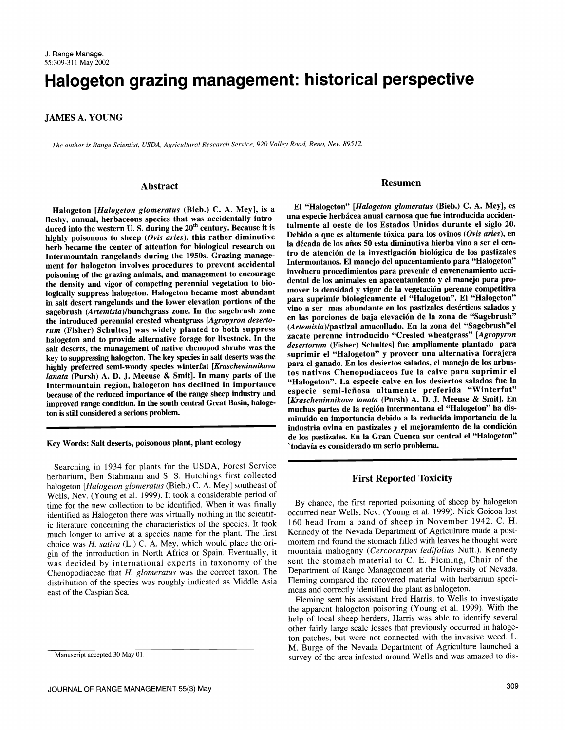# Halogeton grazing management: historical perspective

JAMES A. YOUNG

The author is Range Scientist, USDA, Agricultural Research Service, 920 Valley Road, Reno, Nev. 89512.

#### Abstract

Halogeton [Halogeton glomeratus (Bieb.) C. A. Mey], is a fleshy, annual, herbaceous species that was accidentally introduced into the western U.S. during the 20<sup>th</sup> century. Because it is highly poisonous to sheep (Ovis aries), this rather diminutive<br>herb became the center of attention for biological research on la década de los años 50 esta diminutiva hierba vino a ser el cen-Intermountain rangelands during the 1950s. Grazing management for halogeton involves procedures to prevent accidental poisoning of the grazing animals, and management to encourage<br>the density and viron of competing perennial vegetation to bio-<br>dental de los animales en apacentamiento y el manejo para prothe density and vigor of competing perennial vegetation to biologically suppress halogeton. Halogeton became most abundant in salt desert rangelands and the lower elevation portions of the sagebrush (Artemisia)/bunchgrass zone. In the sagebrush zone the introduced perennial crested wheatgrass [Agropyron desertorum (Fisher) Schultes] was widely planted to both suppress halogeton and to provide alternative forage for livestock. In the salt deserts, the management of native chenopod shrubs was the key to suppressing halogeton. The key species in salt deserts was the highly preferred semi-woody species winterfat [Krascheninnikova lanata (Pursh) A. D. J. Meeuse & Smit]. In many parts of the Intermountain region, halogeton has declined in importance because of the reduced importance of the range sheep industry and improved range condition. In the south central Great Basin, halogeton is still considered a serious problem.

### Key Words: Salt deserts, poisonous plant, plant ecology

Searching in 1934 for plants for the USDA, Forest Service herbarium, Ben Stahmann and S. S. Hutchings first collected halogeton [Halogeton glomeratus (Bieb.) C. A. Mey] southeast of Wells, Nev. (Young et al. 1999). It took a considerable period of time for the new collection to be identified. When it was finally identified as Halogeton there was virtually nothing in the scientific literature concerning the characteristics of the species. It took much longer to arrive at a species name for the plant. The first choice was  $H$ . sativa (L.) C. A. Mey, which would place the origin of the introduction in North Africa or Spain. Eventually, it was decided by international experts in taxonomy of the Chenopodiaceae that H. glomeratus was the correct taxon. The distribution of the species was roughly indicated as Middle Asia Fleming compared the recovered material with heri<br>east of the Caspian Sea east of the Caspian Sea east of the Caspian Sea.

#### Resumen

El "Halogeton" [Halogeton glomeratus (Bieb.) C. A. Mey], es una especie herbácea anual carnosa que fue introducida accidentalmente al oeste de los Estados Unidos durante el siglo 20. Debido a que es altamente tóxica para los ovinos (Ovis aries), en la década de los años 50 esta diminutiva hierba vino a ser el centro de atención de la investigación biológica de los pastizales Intermontanos. El manejo del apacentamiento para "Halogeton" involucra procedimientos para prevenir el envenenamiento accimover la densidad y vigor de la vegetación perenne competitiva para suprimir biologicamente el "Halogeton". El "Halogeton" vino a ser mas abundante en los pastizales deserticos salados y en las porciones de baja elevacion de la zona de "Sagebrush" (Artemisia)/pastizal amacollado. En la zona del "Sagebrush"el zacate perenne introducido "Crested wheatgrass" [Agropyron desertorum (Fisher) Schultes] fue ampliamente plantado para suprimir el "Halogeton" y proveer una alternativa forrajera para el ganado. En los desiertos salados, el manejo de los arbustos nativos Chenopodiaceos fue la calve para suprimir el "Halogeton". La especie calve en los desiertos salados fue la especie semi-leñosa altamente preferida "Winterfat" [Krascheninnikova lanata (Pursh) A. D. J. Meeuse & Smit]. En muchas partes de la region intermontana el "Halogeton" ha disminuido en importancia debido a la reducida importancia de la industria ovina en pastizales y el mejoramiento de la condicion de los pastizales. En la Gran Cuenca sur central el "Halogeton" 'todavia es considerado un serio problema.

# First Reported Toxicity

By chance, the first reported poisoning of sheep by halogeton occurred near Wells, Nev. (Young et al. 1999). Nick Goicoa lost 160 head from a band of sheep in November 1942. C. H. Kennedy of the Nevada Department of Agriculture made a postmortem and found the stomach filled with leaves he thought were mountain mahogany (Cercocarpus ledifolius Nutt.). Kennedy sent the stomach material to C. E. Fleming, Chair of the Department of Range Management at the University of Nevada. Fleming compared the recovered material with herbarium speci-

Fleming sent his assistant Fred Harris, to Wells to investigate the apparent halogeton poisoning (Young et al. 1999). With the help of local sheep herders, Harris was able to identify several other fairly large scale losses that previously occurred in halogeton patches, but were not connected with the invasive weed. L.<br>M. Burge of the Nevada Department of Agriculture launched a survey of the area infested around Wells and was amazed to dis-

Manuscript accepted 30 May 01.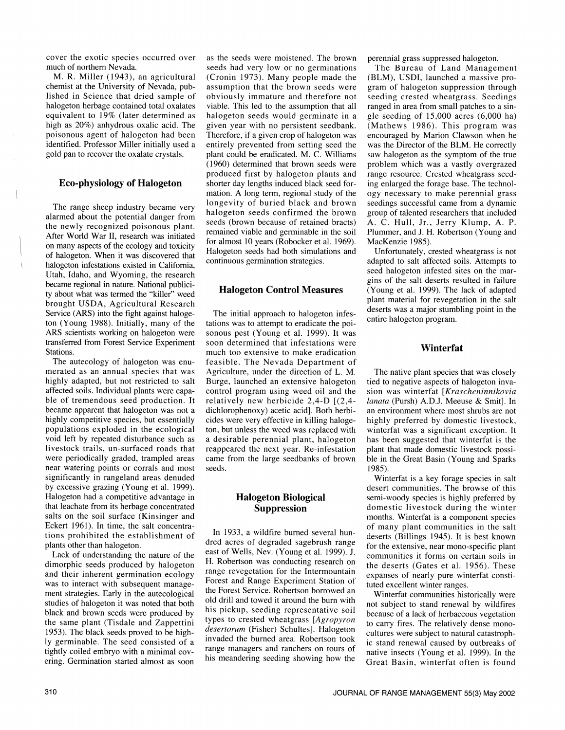cover the exotic species occurred over much of northern Nevada.

M. R. Miller (1943), an agricultural chemist at the University of Nevada, published in Science that dried sample of halogeton herbage contained total oxalates equivalent to 19% (later determined as high as 20%) anhydrous oxalic acid. The poisonous agent of halogeton had been identified. Professor Miller initially used a gold pan to recover the oxalate crystals.

# Eco-physiology of Halogeton

The range sheep industry became very alarmed about the potential danger from the newly recognized poisonous plant. After World War II, research was initiated on many aspects of the ecology and toxicity of halogeton. When it was discovered that halogeton infestations existed in California, Utah, Idaho, and Wyoming, the research became regional in nature. National publicity about what was termed the "killer" weed brought USDA, Agricultural Research Service (ARS) into the fight against halogeton (Young 1988). Initially, many of the tations was to attempt to eradicate the poi-ARS scientists working on halogeton were transferred from Forest Service Experiment Stations.

The autecology of halogeton was enu- merated as an annual species that was highly adapted, but not restricted to salt affected soils. Individual plants were capable of tremendous seed production. It became apparent that halogeton was not a highly competitive species, but essentially populations exploded in the ecological livestock trails, un-surfaced roads that<br>were periodically graded, trampled areas near watering points or corrals and most significantly in rangeland areas denuded by excessive grazing (Young et al. 1999). Halogeton had a competitive advantage in that leachate from its herbage concentrated salts on the soil surface (Kinsinger and Eckert 1961). In time, the salt concentrations prohibited the establishment of plants other than halogeton.

Lack of understanding the nature of the dimorphic seeds produced by halogeton and their inherent germination ecology was to interact with subsequent management strategies. Early in the autecological studies of halogeton it was noted that both black and brown seeds were produced by the same plant (Tisdale and Zappettini 1953). The black seeds proved to be highly germinable. The seed consisted of a ering. Germination started almost as soon

as the seeds were moistened. The brown seeds had very low or no germinations (Cronin 1973). Many people made the assumption that the brown seeds were obviously immature and therefore not viable. This led to the assumption that all halogeton seeds would germinate in a given year with no persistent seedbank. Therefore, if a given crop of halogeton was entirely prevented from setting seed the plant could be eradicated. M. C. Williams (1960) determined that brown seeds were produced first by halogeton plants and shorter day lengths induced black seed formation. A long term, regional study of the longevity of buried black and brown halogeton seeds confirmed the brown seeds (brown because of retained bracts) remained viable and germinable in the soil for almost 10 years (Robocker et al. 1969). Halogeton seeds had both simulations and continuous germination strategies.

# Halogeton Control Measures

The initial approach to halogeton infessonous pest (Young et al. 1999). It was soon determined that infestations were much too extensive to make eradication feasible. The Nevada Department of Agriculture, under the direction of L. M. Burge, launched an extensive halogeton control program using weed oil and the sion was winterfat [Krascheninnikovia relatively new herbicide  $2,4-D$  [(2,4- lanata (Pursh) A.D.J. Meeuse & Smit]. In relatively new herbicide 2,4-D [(2,4 dichlorophenoxy) acetic acid]. Both herbicides were very effective in killing halogeton, but unless the weed was replaced with a desirable perennial plant, halogeton reappeared the next year. Re-infestation came from the large seedbanks of brown seeds.

# Halogeton Biological Suppression

In 1933, a wildfire burned several hundred acres of degraded sagebrush range east of Wells, Nev. (Young et al. 1999). J. H. Robertson was conducting research on range revegetation for the Intermountain Forest and Range Experiment Station of the Forest Service. Robertson borrowed an the Forest Service. Robertson borrowed and<br>old drill and towed it around the burn with and subject to stand around the wildfine his pickup, seeding representative soil types to crested wheatgrass [Agropyron to carry fires. The relatively dense monodesertorum (Fisher) Schultes]. Halogeton invaded the burned area. Robertson took range managers and ranchers on tours of his meandering seeding showing how the

perennial grass suppressed halogeton.

The Bureau of Land Management (BLM), USDI, launched a massive program of halogeton suppression through seeding crested wheatgrass. Seedings ranged in area from small patches to a single seeding of 15,000 acres (6,000 ha) (Mathews 1986). This program was encouraged by Marion Clawson when he was the Director of the BLM. He correctly problem which was a vastly overgrazed range resource. Crested wheatgrass seeding enlarged the forage base. The technology necessary to make perennial grass seedings successful came from a dynamic group of talented researchers that included A. C. Hull, Jr., Jerry Klump, A. P. Plummer, and J. H. Robertson (Young and MacKenzie 1985).

Unfortunately, crested wheatgrass is not adapted to salt affected soils. Attempts to seed halogeton infested sites on the mar-<br>gins of the salt deserts resulted in failure (Young et al. 1999). The lack of adapted plant material for revegetation in the salt deserts was a major stumbling point in the entire halogeton program.

# Winterfat

The native plant species that was closely tied to negative aspects of halogeton invasion was winterfat [Krascheninnikovia an environment where most shrubs are not highly preferred by domestic livestock, winterfat was a significant exception. It has been suggested that winterfat is the plant that made domestic livestock possible in the Great Basin (Young and Sparks 1985).

Winterfat is a key forage species in salt desert communities. The browse of this semi-woody species is highly preferred by domestic livestock during the winter months. Winterfat is a component species of many plant communities in the salt deserts (Billings 1945). It is best known for the extensive, near mono-specific plant communities it forms on certain soils in the deserts (Gates et al. 1956). These expanses of nearly pure winterfat constituted excellent winter ranges.

not subject to stand renewal by wildfires because of a lack of herbaceous vegetation cultures were subject to natural catastrophic stand renewal caused by outbreaks of native insects (Young et al. 1999). In the Great Basin, winterfat often is found